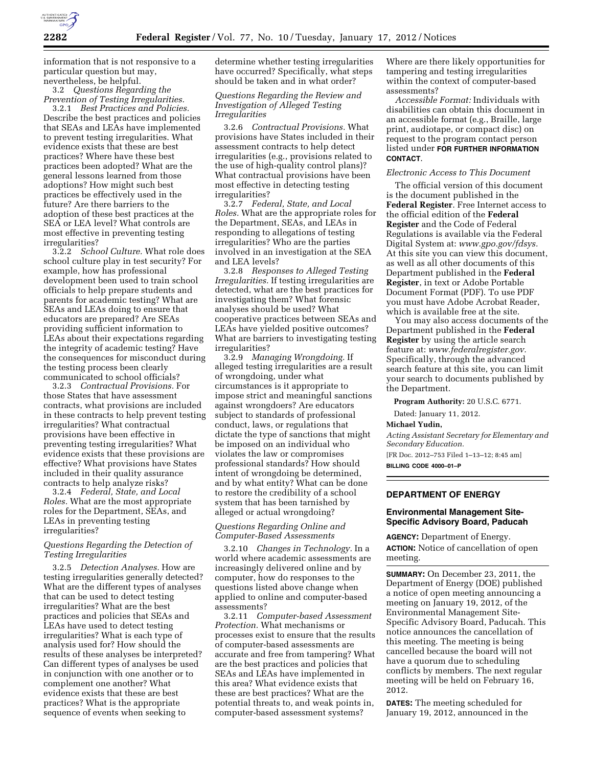

information that is not responsive to a particular question but may, nevertheless, be helpful.

3.2 *Questions Regarding the Prevention of Testing Irregularities.* 

3.2.1 *Best Practices and Policies.*  Describe the best practices and policies that SEAs and LEAs have implemented to prevent testing irregularities. What evidence exists that these are best practices? Where have these best practices been adopted? What are the general lessons learned from those adoptions? How might such best practices be effectively used in the future? Are there barriers to the adoption of these best practices at the SEA or LEA level? What controls are most effective in preventing testing irregularities?

3.2.2 *School Culture.* What role does school culture play in test security? For example, how has professional development been used to train school officials to help prepare students and parents for academic testing? What are SEAs and LEAs doing to ensure that educators are prepared? Are SEAs providing sufficient information to LEAs about their expectations regarding the integrity of academic testing? Have the consequences for misconduct during the testing process been clearly communicated to school officials?

3.2.3 *Contractual Provisions.* For those States that have assessment contracts, what provisions are included in these contracts to help prevent testing irregularities? What contractual provisions have been effective in preventing testing irregularities? What evidence exists that these provisions are effective? What provisions have States included in their quality assurance contracts to help analyze risks?

3.2.4 *Federal, State, and Local Roles.* What are the most appropriate roles for the Department, SEAs, and LEAs in preventing testing irregularities?

## *Questions Regarding the Detection of Testing Irregularities*

3.2.5 *Detection Analyses.* How are testing irregularities generally detected? What are the different types of analyses that can be used to detect testing irregularities? What are the best practices and policies that SEAs and LEAs have used to detect testing irregularities? What is each type of analysis used for? How should the results of these analyses be interpreted? Can different types of analyses be used in conjunction with one another or to complement one another? What evidence exists that these are best practices? What is the appropriate sequence of events when seeking to

determine whether testing irregularities have occurred? Specifically, what steps should be taken and in what order?

# *Questions Regarding the Review and Investigation of Alleged Testing Irregularities*

3.2.6 *Contractual Provisions.* What provisions have States included in their assessment contracts to help detect irregularities (e.g., provisions related to the use of high-quality control plans)? What contractual provisions have been most effective in detecting testing irregularities?

3.2.7 *Federal, State, and Local Roles.* What are the appropriate roles for the Department, SEAs, and LEAs in responding to allegations of testing irregularities? Who are the parties involved in an investigation at the SEA and LEA levels?

3.2.8 *Responses to Alleged Testing Irregularities.* If testing irregularities are detected, what are the best practices for investigating them? What forensic analyses should be used? What cooperative practices between SEAs and LEAs have yielded positive outcomes? What are barriers to investigating testing irregularities?

3.2.9 *Managing Wrongdoing.* If alleged testing irregularities are a result of wrongdoing, under what circumstances is it appropriate to impose strict and meaningful sanctions against wrongdoers? Are educators subject to standards of professional conduct, laws, or regulations that dictate the type of sanctions that might be imposed on an individual who violates the law or compromises professional standards? How should intent of wrongdoing be determined, and by what entity? What can be done to restore the credibility of a school system that has been tarnished by alleged or actual wrongdoing?

# *Questions Regarding Online and Computer-Based Assessments*

3.2.10 *Changes in Technology.* In a world where academic assessments are increasingly delivered online and by computer, how do responses to the questions listed above change when applied to online and computer-based assessments?

3.2.11 *Computer-based Assessment Protection.* What mechanisms or processes exist to ensure that the results of computer-based assessments are accurate and free from tampering? What are the best practices and policies that SEAs and LEAs have implemented in this area? What evidence exists that these are best practices? What are the potential threats to, and weak points in, computer-based assessment systems?

Where are there likely opportunities for tampering and testing irregularities within the context of computer-based assessments?

*Accessible Format:* Individuals with disabilities can obtain this document in an accessible format (e.g., Braille, large print, audiotape, or compact disc) on request to the program contact person listed under **FOR FURTHER INFORMATION CONTACT**.

### *Electronic Access to This Document*

The official version of this document is the document published in the **Federal Register**. Free Internet access to the official edition of the **Federal Register** and the Code of Federal Regulations is available via the Federal Digital System at: *[www.gpo.gov/fdsys.](http://www.gpo.gov/fdsys)*  At this site you can view this document, as well as all other documents of this Department published in the **Federal Register**, in text or Adobe Portable Document Format (PDF). To use PDF you must have Adobe Acrobat Reader, which is available free at the site.

You may also access documents of the Department published in the **Federal Register** by using the article search feature at: *[www.federalregister.gov.](http://www.federalregister.gov)*  Specifically, through the advanced search feature at this site, you can limit your search to documents published by the Department.

**Program Authority:** 20 U.S.C. 6771.

Dated: January 11, 2012.

#### **Michael Yudin,**

*Acting Assistant Secretary for Elementary and Secondary Education.* 

[FR Doc. 2012–753 Filed 1–13–12; 8:45 am] **BILLING CODE 4000–01–P** 

### **DEPARTMENT OF ENERGY**

### **Environmental Management Site-Specific Advisory Board, Paducah**

**AGENCY:** Department of Energy. **ACTION:** Notice of cancellation of open meeting.

**SUMMARY:** On December 23, 2011, the Department of Energy (DOE) published a notice of open meeting announcing a meeting on January 19, 2012, of the Environmental Management Site-Specific Advisory Board, Paducah. This notice announces the cancellation of this meeting. The meeting is being cancelled because the board will not have a quorum due to scheduling conflicts by members. The next regular meeting will be held on February 16, 2012.

**DATES:** The meeting scheduled for January 19, 2012, announced in the